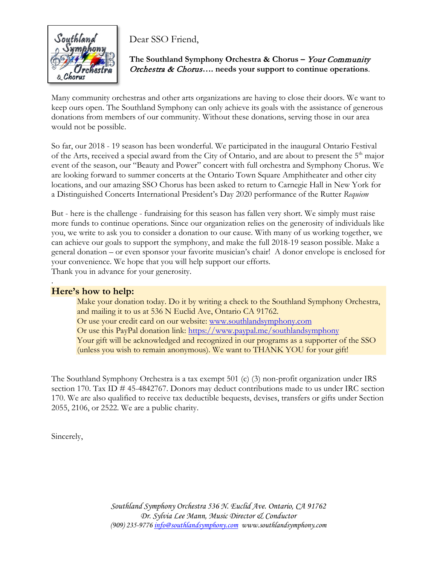

Dear SSO Friend,

**The Southland Symphony Orchestra & Chorus –** Your Community Orchestra & Chorus**…. needs your support to continue operations**.

Many community orchestras and other arts organizations are having to close their doors. We want to keep ours open. The Southland Symphony can only achieve its goals with the assistance of generous donations from members of our community. Without these donations, serving those in our area would not be possible.

So far, our 2018 - 19 season has been wonderful. We participated in the inaugural Ontario Festival of the Arts, received a special award from the City of Ontario, and are about to present the 5<sup>th</sup> major event of the season, our "Beauty and Power" concert with full orchestra and Symphony Chorus. We are looking forward to summer concerts at the Ontario Town Square Amphitheater and other city locations, and our amazing SSO Chorus has been asked to return to Carnegie Hall in New York for a Distinguished Concerts International President's Day 2020 performance of the Rutter *Requiem*

But - here is the challenge - fundraising for this season has fallen very short. We simply must raise more funds to continue operations. Since our organization relies on the generosity of individuals like you, we write to ask you to consider a donation to our cause. With many of us working together, we can achieve our goals to support the symphony, and make the full 2018-19 season possible. Make a general donation – or even sponsor your favorite musician's chair! A donor envelope is enclosed for your convenience. We hope that you will help support our efforts. Thank you in advance for your generosity.

## **Here's how to help:**

.

Make your donation today. Do it by writing a check to the Southland Symphony Orchestra, and mailing it to us at 536 N Euclid Ave, Ontario CA 91762. Or use your credit card on our website: [www.southlandsymphony.com](http://www.southlandsymphony.com/) Or use this PayPal donation link:<https://www.paypal.me/southlandsymphony> Your gift will be acknowledged and recognized in our programs as a supporter of the SSO (unless you wish to remain anonymous). We want to THANK YOU for your gift!

The Southland Symphony Orchestra is a tax exempt 501 (c) (3) non-profit organization under IRS section 170. Tax ID # 45-4842767. Donors may deduct contributions made to us under IRC section 170. We are also qualified to receive tax deductible bequests, devises, transfers or gifts under Section 2055, 2106, or 2522. We are a public charity.

Sincerely,

*Southland Symphony Orchestra 536 N. Euclid Ave. Ontario, CA 91762 Dr. Sylvia Lee Mann, Music Director & Conductor (909) 235-9776 [info@southlandsymphony.com](mailto:info@southlandsymphony.com) www.southlandsymphony.com*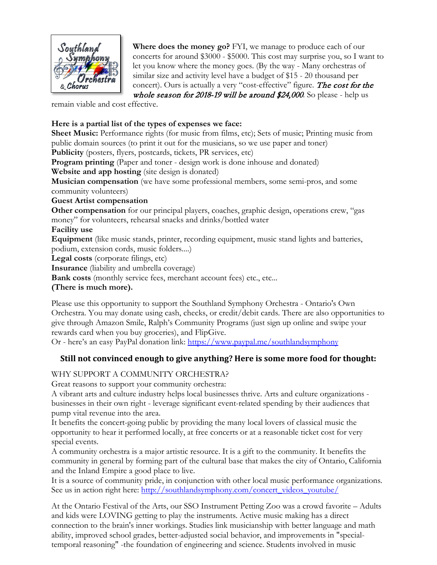

**Where does the money go?** FYI, we manage to produce each of our concerts for around \$3000 - \$5000. This cost may surprise you, so I want to let you know where the money goes. (By the way - Many orchestras of similar size and activity level have a budget of \$15 - 20 thousand per concert). Ours is actually a very "cost-effective" figure. The cost for the

whole season for 2018-19 will be around \$24,000. So please - help us

remain viable and cost effective.

## **Here is a partial list of the types of expenses we face:**

**Sheet Music:** Performance rights (for music from films, etc); Sets of music; Printing music from public domain sources (to print it out for the musicians, so we use paper and toner)

**Publicity** (posters, flyers, postcards, tickets, PR services, etc)

**Program printing** (Paper and toner - design work is done inhouse and donated)

**Website and app hosting** (site design is donated)

**Musician compensation** (we have some professional members, some semi-pros, and some community volunteers)

**Guest Artist compensation**

**Other compensation** for our principal players, coaches, graphic design, operations crew, "gas money" for volunteers, rehearsal snacks and drinks/bottled water

**Facility use**

**Equipment** (like music stands, printer, recording equipment, music stand lights and batteries, podium, extension cords, music folders....)

**Legal costs** (corporate filings, etc)

**Insurance** (liability and umbrella coverage)

**Bank costs** (monthly service fees, merchant account fees) etc., etc...

**(There is much more).** 

Please use this opportunity to support the Southland Symphony Orchestra - Ontario's Own Orchestra. You may donate using cash, checks, or credit/debit cards. There are also opportunities to give through Amazon Smile, Ralph's Community Programs (just sign up online and swipe your rewards card when you buy groceries), and FlipGive.

Or - here's an easy PayPal donation link: [https://www.paypal.me/southlandsymphony](https://l.facebook.com/l.php?u=https%3A%2F%2Fwww.paypal.me%2Fsouthlandsymphony&h=AT1V0Y_TlHl4sUIpY_bpHMCNzFGgP4e_mUkl0hpmm6bklN9HPlwvRTsGkmuMCi7bwRvdmchi5ziHR0x5T3UCHEwpQ-r-0yJmmPieRPrDdheLHH14t7ZwCyYK-Vp6kKr7kO3YXUUz3TsZIIUu2_c)

## **Still not convinced enough to give anything? Here is some more food for thought:**

## WHY SUPPORT A COMMUNITY ORCHESTRA?

Great reasons to support your community orchestra:

A vibrant arts and culture industry helps local businesses thrive. Arts and culture organizations businesses in their own right - leverage significant event-related spending by their audiences that pump vital revenue into the area.

It benefits the concert-going public by providing the many local lovers of classical music the opportunity to hear it performed locally, at free concerts or at a reasonable ticket cost for very special events.

A community orchestra is a major artistic resource. It is a gift to the community. It benefits the community in general by forming part of the cultural base that makes the city of Ontario, California and the Inland Empire a good place to live.

It is a source of community pride, in conjunction with other local music performance organizations. See us in action right here: [http://southlandsymphony.com/concert\\_videos\\_youtube/](https://l.facebook.com/l.php?u=http%3A%2F%2Fsouthlandsymphony.com%2Fconcert_videos_youtube%2F&h=AT2EnliU2fXCuVKViTXXHgBhs2GYgULT9ImOccpY7x4Q634xo3s5njjDegiEaxtNHN1FA8qaRr_Rypi-8BvJ2qYUojIIpuIkZeH330iS7ImggF_flBEirf2nxcHAdx94-ghwjDJnqNIcFvUMh_s)

At the Ontario Festival of the Arts, our SSO Instrument Petting Zoo was a crowd favorite – Adults and kids were LOVING getting to play the instruments. Active music making has a direct connection to the brain's inner workings. Studies link musicianship with better language and math ability, improved school grades, better-adjusted social behavior, and improvements in "specialtemporal reasoning" -the foundation of engineering and science. Students involved in music